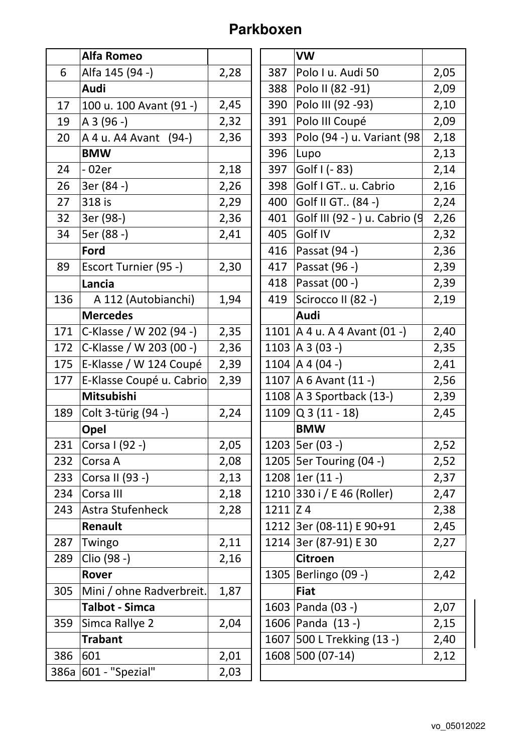## **Parkboxen**

|     | <b>Alfa Romeo</b>        |      |              | <b>VW</b>                        |      |
|-----|--------------------------|------|--------------|----------------------------------|------|
| 6   | Alfa 145 (94 -)          | 2,28 | 387          | Polo I u. Audi 50                | 2,05 |
|     | Audi                     |      | 388          | Polo II (82 - 91)                | 2,09 |
| 17  | 100 u. 100 Avant (91 -)  | 2,45 | 390          | Polo III (92 - 93)               | 2,10 |
| 19  | $A3(96 - )$              | 2,32 | 391          | Polo III Coupé                   | 2,09 |
| 20  | A 4 u. A 4A Avant (94-)  | 2,36 | 393          | Polo (94 -) u. Variant (98       | 2,18 |
|     | <b>BMW</b>               |      | 396          | Lupo                             | 2,13 |
| 24  | - 02er                   | 2,18 | 397          | Golf $( - 83)$                   | 2,14 |
| 26  | 3er (84 -)               | 2,26 | 398          | Golf I GT u. Cabrio              | 2,16 |
| 27  | 318 is                   | 2,29 | 400          | Golf II GT (84 -)                | 2,24 |
| 32  | 3er (98-)                | 2,36 | 401          | Golf III (92 - ) u. Cabrio (9    | 2,26 |
| 34  | 5er (88 -)               | 2,41 | 405          | Golf IV                          | 2,32 |
|     | Ford                     |      | 416          | Passat (94 -)                    | 2,36 |
| 89  | Escort Turnier (95 -)    | 2,30 | 417          | Passat (96 -)                    | 2,39 |
|     | Lancia                   |      | 418          | Passat (00 -)                    | 2,39 |
| 136 | A 112 (Autobianchi)      | 1,94 | 419          | Scirocco II (82 -)               | 2,19 |
|     | <b>Mercedes</b>          |      |              | Audi                             |      |
| 171 | C-Klasse / W 202 (94 -)  | 2,35 |              | 1101   A 4 u. A 4 Avant $(01 -)$ | 2,40 |
| 172 | C-Klasse / W 203 (00 -)  | 2,36 |              | 1103   A 3 (03 -)                | 2,35 |
| 175 | E-Klasse / W 124 Coupé   | 2,39 |              | 1104   A 4 (04 -)                | 2,41 |
| 177 | E-Klasse Coupé u. Cabrio | 2,39 |              | 1107   A 6 Avant $(11 - )$       | 2,56 |
|     | Mitsubishi               |      |              | 1108 $A$ 3 Sportback (13-)       | 2,39 |
| 189 | Colt 3-türig (94 -)      | 2,24 |              | 1109 $Q$ 3 (11 - 18)             | 2,45 |
|     | Opel                     |      |              | <b>BMW</b>                       |      |
| 231 | Corsa I (92 -)           | 2,05 |              | 1203   5er (03 -)                | 2,52 |
| 232 | Corsa A                  | 2,08 |              | 1205   5er Touring (04 -)        | 2,52 |
| 233 | Corsa II (93 -)          | 2,13 |              | 1208 $ 1er(11 -)$                | 2,37 |
| 234 | Corsa III                | 2,18 |              | 1210 330 i / E 46 (Roller)       | 2,47 |
| 243 | Astra Stufenheck         | 2,28 | $1211$ $Z$ 4 |                                  | 2,38 |
|     | Renault                  |      |              | 1212 3er (08-11) E 90+91         | 2,45 |
| 287 | Twingo                   | 2,11 |              | 1214 3er (87-91) E 30            | 2,27 |
| 289 | Clio (98 -)              | 2,16 |              | <b>Citroen</b>                   |      |
|     | Rover                    |      |              | 1305   Berlingo (09 -)           | 2,42 |
| 305 | Mini / ohne Radverbreit. | 1,87 |              | <b>Fiat</b>                      |      |
|     | <b>Talbot - Simca</b>    |      |              | 1603   Panda (03 -)              | 2,07 |
| 359 | Simca Rallye 2           | 2,04 |              | 1606 Panda (13 -)                | 2,15 |
|     | <b>Trabant</b>           |      |              | 1607 500 L Trekking (13 -)       | 2,40 |
| 386 | 601                      | 2,01 |              | 1608 500 (07-14)                 | 2,12 |
|     | 386a 601 - "Spezial"     | 2,03 |              |                                  |      |
|     |                          |      |              |                                  |      |

|      | VW                               |      |
|------|----------------------------------|------|
| 387  | Polo I u. Audi 50                | 2,05 |
| 388  | Polo II (82 - 91)                | 2,09 |
| 390  | Polo III (92 - 93)               | 2,10 |
| 391  | Polo III Coupé                   | 2,09 |
| 393  | Polo (94 -) u. Variant (98       | 2,18 |
| 396  | Lupo                             | 2,13 |
| 397  | Golf I (- 83)                    | 2,14 |
| 398  | Golf I GT u. Cabrio              | 2,16 |
| 400  | Golf II GT (84 -)                | 2,24 |
| 401  | Golf III (92 - ) u. Cabrio (9    | 2,26 |
| 405  | Golf IV                          | 2,32 |
| 416  | Passat (94 -)                    | 2,36 |
| 417  | Passat (96 -)                    | 2,39 |
| 418  | Passat (00 -)                    | 2,39 |
| 419  | Scirocco II (82 -)               | 2,19 |
|      | Audi                             |      |
|      | 1101   A 4 u. A 4 Avant $(01 -)$ | 2,40 |
|      | $1103$  A 3 (03 -)               | 2,35 |
|      | 1104   A 4 (04 -)                | 2,41 |
|      | 1107   A 6 Avant $(11 - )$       | 2,56 |
|      | 1108   A 3 Sportback (13-)       | 2,39 |
|      | $1109$ Q 3 (11 - 18)             | 2,45 |
|      | <b>BMW</b>                       |      |
|      | 1203   5er (03 -)                | 2,52 |
|      | 1205   5er Touring (04 -)        | 2,52 |
| 1208 | $1er(11 -)$                      | 2,37 |
|      | 1210 330 i / E 46 (Roller)       | 2,47 |
| 1211 | Z <sub>4</sub>                   | 2,38 |
| 1212 | 3er (08-11) E 90+91              | 2,45 |
| 1214 | 3er (87-91) E 30                 | 2,27 |
|      | <b>Citroen</b>                   |      |
| 1305 | Berlingo (09 -)                  | 2,42 |
|      | <b>Fiat</b>                      |      |
| 1603 | Panda (03 -)                     | 2,07 |
| 1606 | Panda (13 -)                     | 2,15 |
| 1607 | 500 L Trekking (13 -)            | 2,40 |
| 1608 | 500 (07-14)                      | 2,12 |
|      |                                  |      |